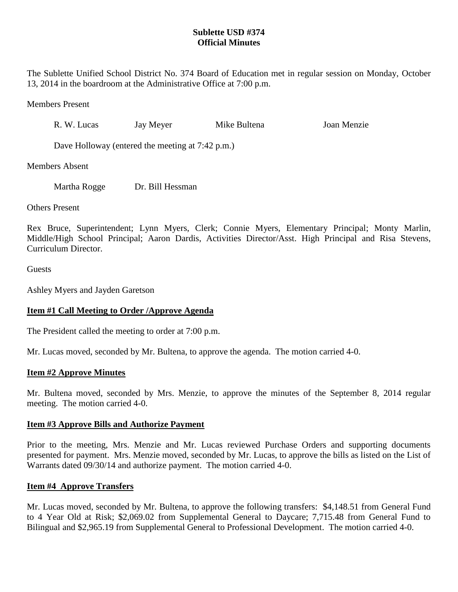# **Sublette USD #374 Official Minutes**

The Sublette Unified School District No. 374 Board of Education met in regular session on Monday, October 13, 2014 in the boardroom at the Administrative Office at 7:00 p.m.

Members Present

R. W. Lucas Jay Meyer Mike Bultena Joan Menzie

Dave Holloway (entered the meeting at 7:42 p.m.)

Members Absent

Martha Rogge Dr. Bill Hessman

Others Present

Rex Bruce, Superintendent; Lynn Myers, Clerk; Connie Myers, Elementary Principal; Monty Marlin, Middle/High School Principal; Aaron Dardis, Activities Director/Asst. High Principal and Risa Stevens, Curriculum Director.

Guests

Ashley Myers and Jayden Garetson

# **Item #1 Call Meeting to Order /Approve Agenda**

The President called the meeting to order at 7:00 p.m.

Mr. Lucas moved, seconded by Mr. Bultena, to approve the agenda. The motion carried 4-0.

# **Item #2 Approve Minutes**

Mr. Bultena moved, seconded by Mrs. Menzie, to approve the minutes of the September 8, 2014 regular meeting. The motion carried 4-0.

## **Item #3 Approve Bills and Authorize Payment**

Prior to the meeting, Mrs. Menzie and Mr. Lucas reviewed Purchase Orders and supporting documents presented for payment. Mrs. Menzie moved, seconded by Mr. Lucas, to approve the bills as listed on the List of Warrants dated 09/30/14 and authorize payment. The motion carried 4-0.

## **Item #4 Approve Transfers**

Mr. Lucas moved, seconded by Mr. Bultena, to approve the following transfers: \$4,148.51 from General Fund to 4 Year Old at Risk; \$2,069.02 from Supplemental General to Daycare; 7,715.48 from General Fund to Bilingual and \$2,965.19 from Supplemental General to Professional Development. The motion carried 4-0.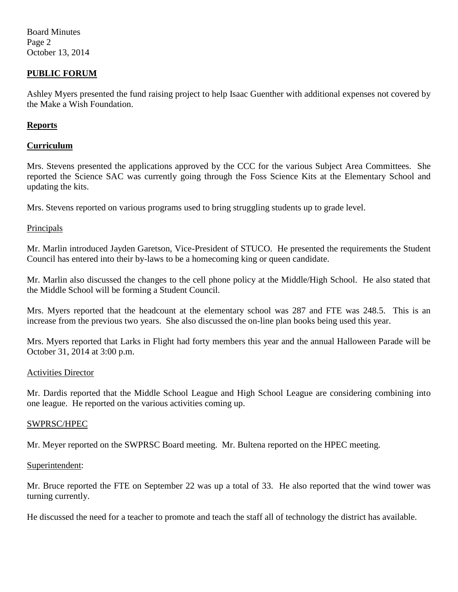Board Minutes Page 2 October 13, 2014

## **PUBLIC FORUM**

Ashley Myers presented the fund raising project to help Isaac Guenther with additional expenses not covered by the Make a Wish Foundation.

## **Reports**

## **Curriculum**

Mrs. Stevens presented the applications approved by the CCC for the various Subject Area Committees. She reported the Science SAC was currently going through the Foss Science Kits at the Elementary School and updating the kits.

Mrs. Stevens reported on various programs used to bring struggling students up to grade level.

## Principals

Mr. Marlin introduced Jayden Garetson, Vice-President of STUCO. He presented the requirements the Student Council has entered into their by-laws to be a homecoming king or queen candidate.

Mr. Marlin also discussed the changes to the cell phone policy at the Middle/High School. He also stated that the Middle School will be forming a Student Council.

Mrs. Myers reported that the headcount at the elementary school was 287 and FTE was 248.5. This is an increase from the previous two years. She also discussed the on-line plan books being used this year.

Mrs. Myers reported that Larks in Flight had forty members this year and the annual Halloween Parade will be October 31, 2014 at 3:00 p.m.

#### Activities Director

Mr. Dardis reported that the Middle School League and High School League are considering combining into one league. He reported on the various activities coming up.

## SWPRSC/HPEC

Mr. Meyer reported on the SWPRSC Board meeting. Mr. Bultena reported on the HPEC meeting.

#### Superintendent:

Mr. Bruce reported the FTE on September 22 was up a total of 33. He also reported that the wind tower was turning currently.

He discussed the need for a teacher to promote and teach the staff all of technology the district has available.